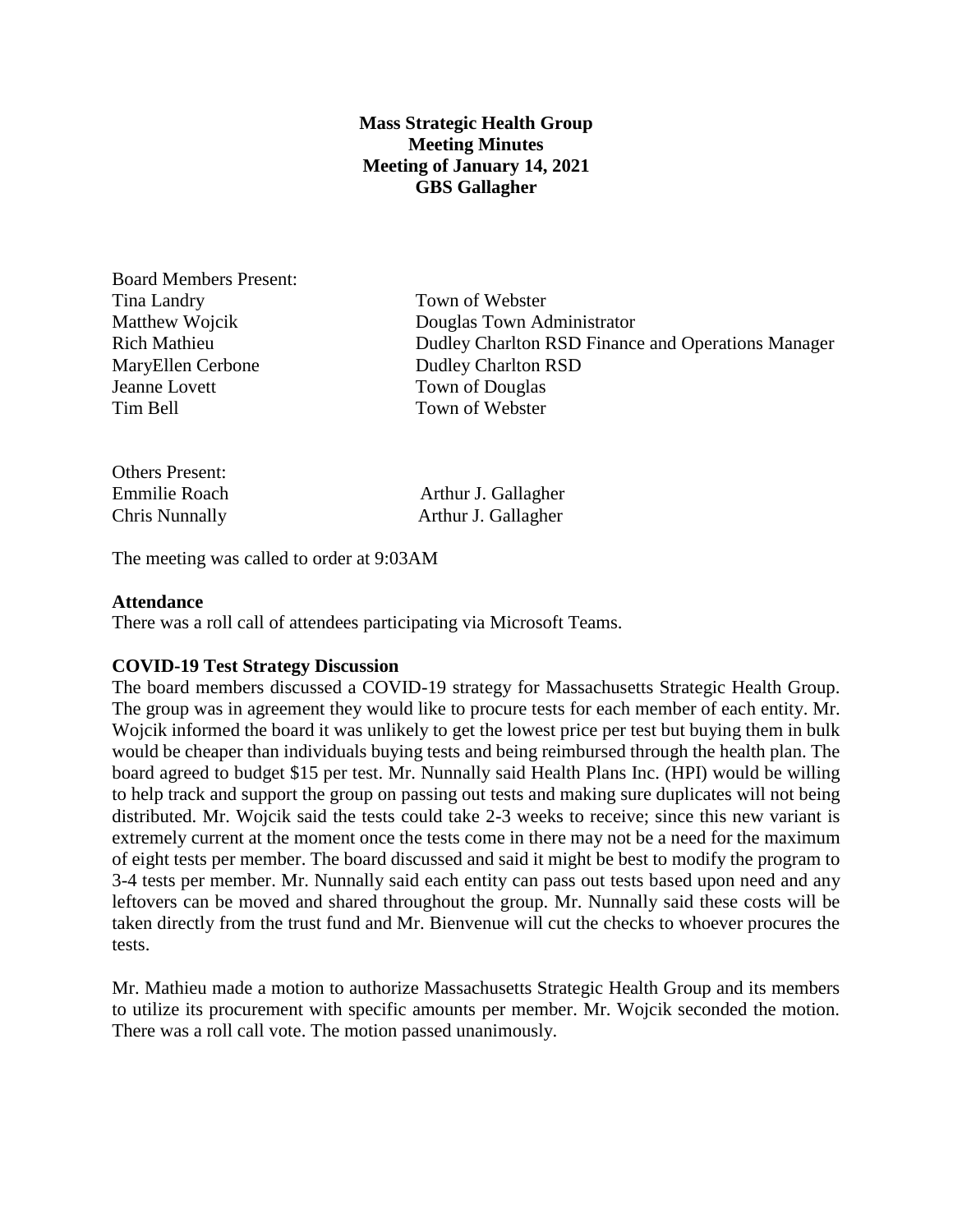## **Mass Strategic Health Group Meeting Minutes Meeting of January 14, 2021 GBS Gallagher**

Board Members Present: Tina Landry Town of Webster MaryEllen Cerbone Dudley Charlton RSD Jeanne Lovett Town of Douglas Tim Bell Town of Webster

Matthew Wojcik Douglas Town Administrator Rich Mathieu Dudley Charlton RSD Finance and Operations Manager

| Others Present: |                     |
|-----------------|---------------------|
| Emmilie Roach   | Arthur J. Gallagher |
| Chris Nunnally  | Arthur J. Gallagher |

The meeting was called to order at 9:03AM

#### **Attendance**

There was a roll call of attendees participating via Microsoft Teams.

## **COVID-19 Test Strategy Discussion**

The board members discussed a COVID-19 strategy for Massachusetts Strategic Health Group. The group was in agreement they would like to procure tests for each member of each entity. Mr. Wojcik informed the board it was unlikely to get the lowest price per test but buying them in bulk would be cheaper than individuals buying tests and being reimbursed through the health plan. The board agreed to budget \$15 per test. Mr. Nunnally said Health Plans Inc. (HPI) would be willing to help track and support the group on passing out tests and making sure duplicates will not being distributed. Mr. Wojcik said the tests could take 2-3 weeks to receive; since this new variant is extremely current at the moment once the tests come in there may not be a need for the maximum of eight tests per member. The board discussed and said it might be best to modify the program to 3-4 tests per member. Mr. Nunnally said each entity can pass out tests based upon need and any leftovers can be moved and shared throughout the group. Mr. Nunnally said these costs will be taken directly from the trust fund and Mr. Bienvenue will cut the checks to whoever procures the tests.

Mr. Mathieu made a motion to authorize Massachusetts Strategic Health Group and its members to utilize its procurement with specific amounts per member. Mr. Wojcik seconded the motion. There was a roll call vote. The motion passed unanimously.